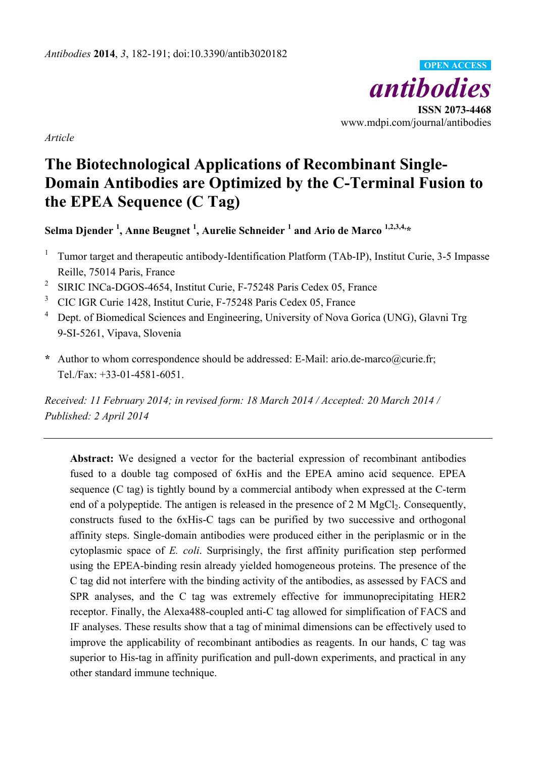

*Article* 

# **The Biotechnological Applications of Recombinant Single-Domain Antibodies are Optimized by the C-Terminal Fusion to the EPEA Sequence (C Tag)**

**Selma Djender 1 , Anne Beugnet 1 , Aurelie Schneider 1 and Ario de Marco 1,2,3,4,\*** 

- <sup>1</sup> Tumor target and therapeutic antibody-Identification Platform (TAb-IP), Institut Curie, 3-5 Impasse Reille, 75014 Paris, France
- <sup>2</sup> SIRIC INCa-DGOS-4654, Institut Curie, F-75248 Paris Cedex 05, France
- <sup>3</sup> CIC IGR Curie 1428, Institut Curie, F-75248 Paris Cedex 05, France
- <sup>4</sup> Dept. of Biomedical Sciences and Engineering, University of Nova Gorica (UNG), Glavni Trg 9-SI-5261, Vipava, Slovenia
- **\*** Author to whom correspondence should be addressed: E-Mail: ario.de-marco@curie.fr; Tel./Fax: +33-01-4581-6051.

*Received: 11 February 2014; in revised form: 18 March 2014 / Accepted: 20 March 2014 / Published: 2 April 2014* 

**Abstract:** We designed a vector for the bacterial expression of recombinant antibodies fused to a double tag composed of 6xHis and the EPEA amino acid sequence. EPEA sequence (C tag) is tightly bound by a commercial antibody when expressed at the C-term end of a polypeptide. The antigen is released in the presence of  $2 \text{ M MgCl}_2$ . Consequently, constructs fused to the 6xHis-C tags can be purified by two successive and orthogonal affinity steps. Single-domain antibodies were produced either in the periplasmic or in the cytoplasmic space of *E. coli*. Surprisingly, the first affinity purification step performed using the EPEA-binding resin already yielded homogeneous proteins. The presence of the C tag did not interfere with the binding activity of the antibodies, as assessed by FACS and SPR analyses, and the C tag was extremely effective for immunoprecipitating HER2 receptor. Finally, the Alexa488-coupled anti-C tag allowed for simplification of FACS and IF analyses. These results show that a tag of minimal dimensions can be effectively used to improve the applicability of recombinant antibodies as reagents. In our hands, C tag was superior to His-tag in affinity purification and pull-down experiments, and practical in any other standard immune technique.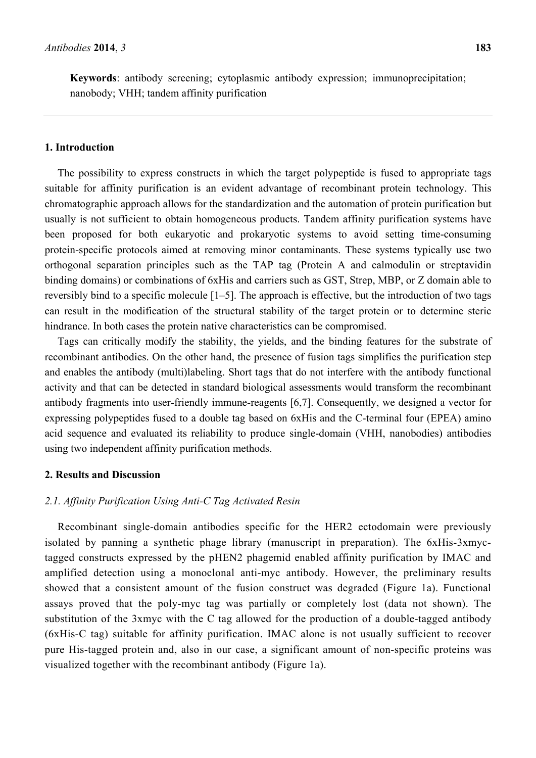**Keywords**: antibody screening; cytoplasmic antibody expression; immunoprecipitation; nanobody; VHH; tandem affinity purification

#### **1. Introduction**

The possibility to express constructs in which the target polypeptide is fused to appropriate tags suitable for affinity purification is an evident advantage of recombinant protein technology. This chromatographic approach allows for the standardization and the automation of protein purification but usually is not sufficient to obtain homogeneous products. Tandem affinity purification systems have been proposed for both eukaryotic and prokaryotic systems to avoid setting time-consuming protein-specific protocols aimed at removing minor contaminants. These systems typically use two orthogonal separation principles such as the TAP tag (Protein A and calmodulin or streptavidin binding domains) or combinations of 6xHis and carriers such as GST, Strep, MBP, or Z domain able to reversibly bind to a specific molecule [1–5]. The approach is effective, but the introduction of two tags can result in the modification of the structural stability of the target protein or to determine steric hindrance. In both cases the protein native characteristics can be compromised.

Tags can critically modify the stability, the yields, and the binding features for the substrate of recombinant antibodies. On the other hand, the presence of fusion tags simplifies the purification step and enables the antibody (multi)labeling. Short tags that do not interfere with the antibody functional activity and that can be detected in standard biological assessments would transform the recombinant antibody fragments into user-friendly immune-reagents [6,7]. Consequently, we designed a vector for expressing polypeptides fused to a double tag based on 6xHis and the C-terminal four (EPEA) amino acid sequence and evaluated its reliability to produce single-domain (VHH, nanobodies) antibodies using two independent affinity purification methods.

## **2. Results and Discussion**

### *2.1. Affinity Purification Using Anti-C Tag Activated Resin*

Recombinant single-domain antibodies specific for the HER2 ectodomain were previously isolated by panning a synthetic phage library (manuscript in preparation). The 6xHis-3xmyctagged constructs expressed by the pHEN2 phagemid enabled affinity purification by IMAC and amplified detection using a monoclonal anti-myc antibody. However, the preliminary results showed that a consistent amount of the fusion construct was degraded (Figure 1a). Functional assays proved that the poly-myc tag was partially or completely lost (data not shown). The substitution of the 3xmyc with the C tag allowed for the production of a double-tagged antibody (6xHis-C tag) suitable for affinity purification. IMAC alone is not usually sufficient to recover pure His-tagged protein and, also in our case, a significant amount of non-specific proteins was visualized together with the recombinant antibody (Figure 1a).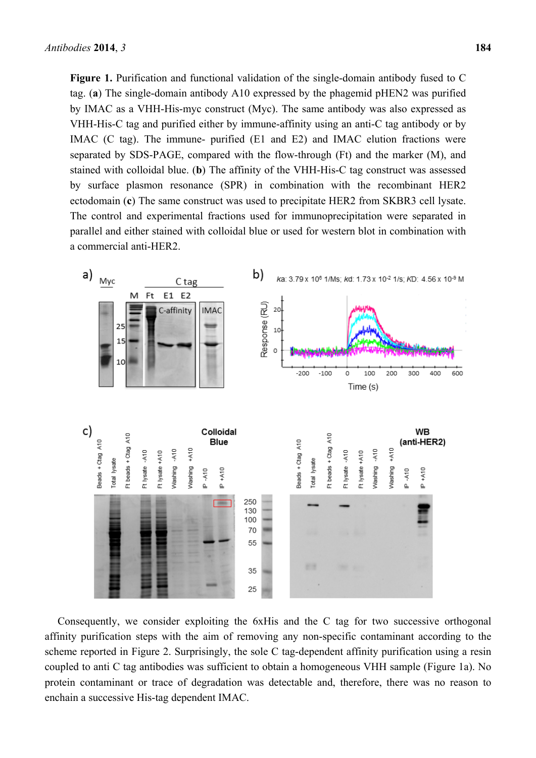**Figure 1.** Purification and functional validation of the single-domain antibody fused to C tag. (**a**) The single-domain antibody A10 expressed by the phagemid pHEN2 was purified by IMAC as a VHH-His-myc construct (Myc). The same antibody was also expressed as VHH-His-C tag and purified either by immune-affinity using an anti-C tag antibody or by IMAC (C tag). The immune- purified (E1 and E2) and IMAC elution fractions were separated by SDS-PAGE, compared with the flow-through (Ft) and the marker (M), and stained with colloidal blue. (**b**) The affinity of the VHH-His-C tag construct was assessed by surface plasmon resonance (SPR) in combination with the recombinant HER2 ectodomain (**c**) The same construct was used to precipitate HER2 from SKBR3 cell lysate. The control and experimental fractions used for immunoprecipitation were separated in parallel and either stained with colloidal blue or used for western blot in combination with a commercial anti-HER2.



Consequently, we consider exploiting the 6xHis and the C tag for two successive orthogonal affinity purification steps with the aim of removing any non-specific contaminant according to the scheme reported in Figure 2. Surprisingly, the sole C tag-dependent affinity purification using a resin coupled to anti C tag antibodies was sufficient to obtain a homogeneous VHH sample (Figure 1a). No protein contaminant or trace of degradation was detectable and, therefore, there was no reason to enchain a successive His-tag dependent IMAC.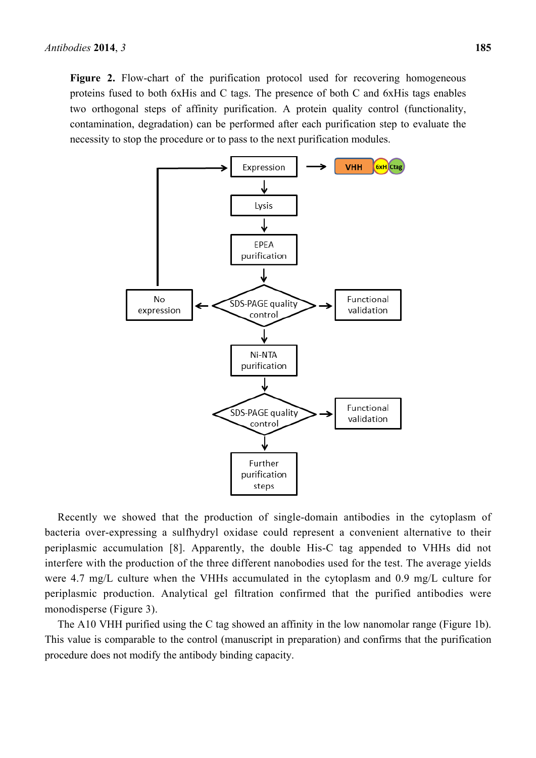**Figure 2.** Flow-chart of the purification protocol used for recovering homogeneous proteins fused to both 6xHis and C tags. The presence of both C and 6xHis tags enables two orthogonal steps of affinity purification. A protein quality control (functionality, contamination, degradation) can be performed after each purification step to evaluate the necessity to stop the procedure or to pass to the next purification modules.



Recently we showed that the production of single-domain antibodies in the cytoplasm of bacteria over-expressing a sulfhydryl oxidase could represent a convenient alternative to their periplasmic accumulation [8]. Apparently, the double His-C tag appended to VHHs did not interfere with the production of the three different nanobodies used for the test. The average yields were 4.7 mg/L culture when the VHHs accumulated in the cytoplasm and 0.9 mg/L culture for periplasmic production. Analytical gel filtration confirmed that the purified antibodies were monodisperse (Figure 3).

The A10 VHH purified using the C tag showed an affinity in the low nanomolar range (Figure 1b). This value is comparable to the control (manuscript in preparation) and confirms that the purification procedure does not modify the antibody binding capacity.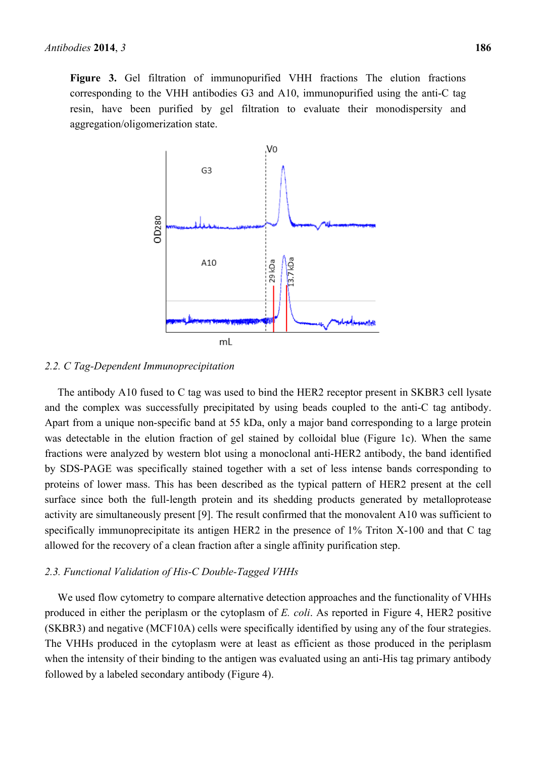**Figure 3.** Gel filtration of immunopurified VHH fractions The elution fractions corresponding to the VHH antibodies G3 and A10, immunopurified using the anti-C tag resin, have been purified by gel filtration to evaluate their monodispersity and aggregation/oligomerization state.



#### *2.2. C Tag-Dependent Immunoprecipitation*

The antibody A10 fused to C tag was used to bind the HER2 receptor present in SKBR3 cell lysate and the complex was successfully precipitated by using beads coupled to the anti-C tag antibody. Apart from a unique non-specific band at 55 kDa, only a major band corresponding to a large protein was detectable in the elution fraction of gel stained by colloidal blue (Figure 1c). When the same fractions were analyzed by western blot using a monoclonal anti-HER2 antibody, the band identified by SDS-PAGE was specifically stained together with a set of less intense bands corresponding to proteins of lower mass. This has been described as the typical pattern of HER2 present at the cell surface since both the full-length protein and its shedding products generated by metalloprotease activity are simultaneously present [9]. The result confirmed that the monovalent A10 was sufficient to specifically immunoprecipitate its antigen HER2 in the presence of 1% Triton X-100 and that C tag allowed for the recovery of a clean fraction after a single affinity purification step.

#### *2.3. Functional Validation of His-C Double-Tagged VHHs*

We used flow cytometry to compare alternative detection approaches and the functionality of VHHs produced in either the periplasm or the cytoplasm of *E. coli*. As reported in Figure 4, HER2 positive (SKBR3) and negative (MCF10A) cells were specifically identified by using any of the four strategies. The VHHs produced in the cytoplasm were at least as efficient as those produced in the periplasm when the intensity of their binding to the antigen was evaluated using an anti-His tag primary antibody followed by a labeled secondary antibody (Figure 4).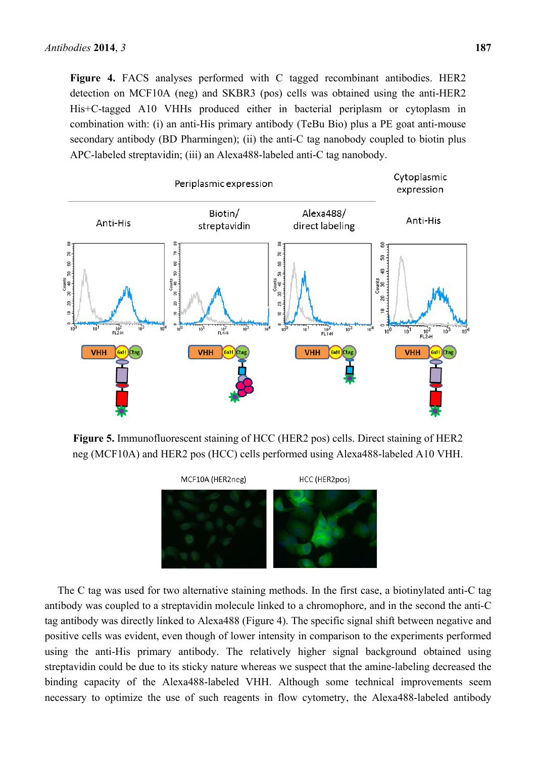**Figure 4.** FACS analyses performed with C tagged recombinant antibodies. HER2 detection on MCF10A (neg) and SKBR3 (pos) cells was obtained using the anti-HER2 His+C-tagged A10 VHHs produced either in bacterial periplasm or cytoplasm in combination with: (i) an anti-His primary antibody (TeBu Bio) plus a PE goat anti-mouse secondary antibody (BD Pharmingen); (ii) the anti-C tag nanobody coupled to biotin plus APC-labeled streptavidin; (iii) an Alexa488-labeled anti-C tag nanobody.



**Figure 5.** Immunofluorescent staining of HCC (HER2 pos) cells. Direct staining of HER2 neg (MCF10A) and HER2 pos (HCC) cells performed using Alexa488-labeled A10 VHH.



The C tag was used for two alternative staining methods. In the first case, a biotinylated anti-C tag antibody was coupled to a streptavidin molecule linked to a chromophore, and in the second the anti-C tag antibody was directly linked to Alexa488 (Figure 4). The specific signal shift between negative and positive cells was evident, even though of lower intensity in comparison to the experiments performed using the anti-His primary antibody. The relatively higher signal background obtained using streptavidin could be due to its sticky nature whereas we suspect that the amine-labeling decreased the binding capacity of the Alexa488-labeled VHH. Although some technical improvements seem necessary to optimize the use of such reagents in flow cytometry, the Alexa488-labeled antibody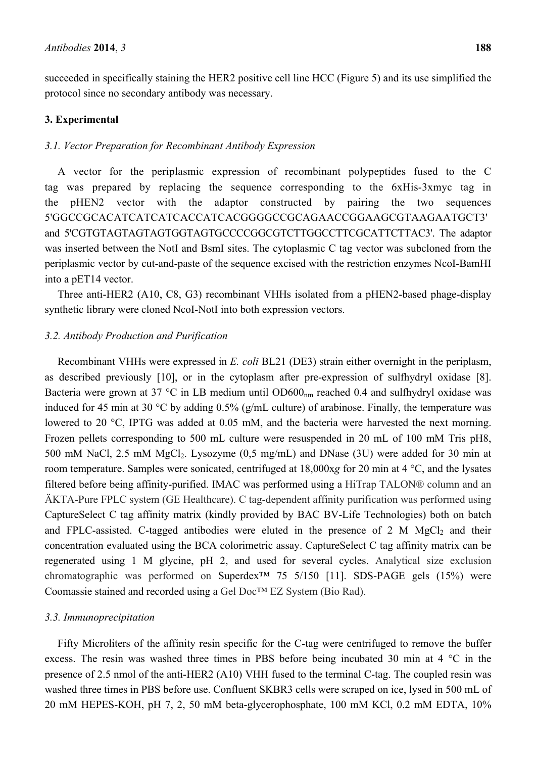succeeded in specifically staining the HER2 positive cell line HCC (Figure 5) and its use simplified the protocol since no secondary antibody was necessary.

## **3. Experimental**

#### *3.1. Vector Preparation for Recombinant Antibody Expression*

A vector for the periplasmic expression of recombinant polypeptides fused to the C tag was prepared by replacing the sequence corresponding to the 6xHis-3xmyc tag in the pHEN2 vector with the adaptor constructed by pairing the two sequences 5'GGCCGCACATCATCATCACCATCACGGGGCCGCAGAACCGGAAGCGTAAGAATGCT3' and 5'CGTGTAGTAGTAGTGGTAGTGCCCCGGCGTCTTGGCCTTCGCATTCTTAC3'. The adaptor was inserted between the NotI and BsmI sites. The cytoplasmic C tag vector was subcloned from the periplasmic vector by cut-and-paste of the sequence excised with the restriction enzymes NcoI-BamHI into a pET14 vector.

Three anti-HER2 (A10, C8, G3) recombinant VHHs isolated from a pHEN2-based phage-display synthetic library were cloned NcoI-NotI into both expression vectors.

## *3.2. Antibody Production and Purification*

Recombinant VHHs were expressed in *E. coli* BL21 (DE3) strain either overnight in the periplasm, as described previously [10], or in the cytoplasm after pre-expression of sulfhydryl oxidase [8]. Bacteria were grown at 37 °C in LB medium until  $OD600<sub>nm</sub>$  reached 0.4 and sulfhydryl oxidase was induced for 45 min at 30 °C by adding 0.5% (g/mL culture) of arabinose. Finally, the temperature was lowered to 20 °C, IPTG was added at 0.05 mM, and the bacteria were harvested the next morning. Frozen pellets corresponding to 500 mL culture were resuspended in 20 mL of 100 mM Tris pH8, 500 mM NaCl, 2.5 mM  $MgCl_2$ . Lysozyme  $(0.5 \text{ mg/mL})$  and DNase  $(3U)$  were added for 30 min at room temperature. Samples were sonicated, centrifuged at 18,000x*g* for 20 min at 4 °C, and the lysates filtered before being affinity-purified. IMAC was performed using a HiTrap TALON® column and an ÄKTA-Pure FPLC system (GE Healthcare). C tag-dependent affinity purification was performed using CaptureSelect C tag affinity matrix (kindly provided by BAC BV-Life Technologies) both on batch and FPLC-assisted. C-tagged antibodies were eluted in the presence of  $2 \text{ M } MgCl_2$  and their concentration evaluated using the BCA colorimetric assay. CaptureSelect C tag affinity matrix can be regenerated using 1 M glycine, pH 2, and used for several cycles. Analytical size exclusion chromatographic was performed on Superdex<sup>TM</sup> 75 5/150 [11]. SDS-PAGE gels (15%) were Coomassie stained and recorded using a Gel Doc™ EZ System (Bio Rad).

## *3.3. Immunoprecipitation*

Fifty Microliters of the affinity resin specific for the C-tag were centrifuged to remove the buffer excess. The resin was washed three times in PBS before being incubated 30 min at 4 °C in the presence of 2.5 nmol of the anti-HER2 (A10) VHH fused to the terminal C-tag. The coupled resin was washed three times in PBS before use. Confluent SKBR3 cells were scraped on ice, lysed in 500 mL of 20 mM HEPES-KOH, pH 7, 2, 50 mM beta-glycerophosphate, 100 mM KCl, 0.2 mM EDTA, 10%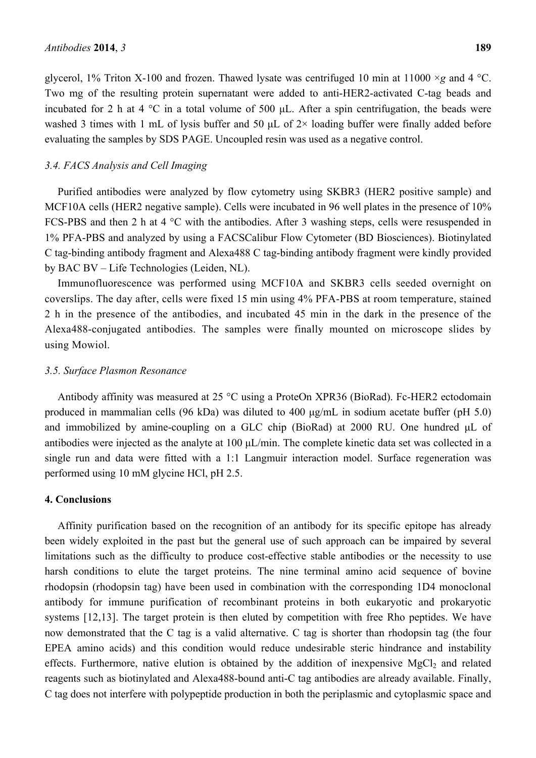glycerol, 1% Triton X-100 and frozen. Thawed lysate was centrifuged 10 min at 11000 ×*g* and 4 °C. Two mg of the resulting protein supernatant were added to anti-HER2-activated C-tag beads and incubated for 2 h at 4  $\degree$ C in a total volume of 500  $\mu$ L. After a spin centrifugation, the beads were washed 3 times with 1 mL of lysis buffer and 50  $\mu$ L of 2× loading buffer were finally added before evaluating the samples by SDS PAGE. Uncoupled resin was used as a negative control.

## *3.4. FACS Analysis and Cell Imaging*

Purified antibodies were analyzed by flow cytometry using SKBR3 (HER2 positive sample) and MCF10A cells (HER2 negative sample). Cells were incubated in 96 well plates in the presence of 10% FCS-PBS and then 2 h at 4 °C with the antibodies. After 3 washing steps, cells were resuspended in 1% PFA-PBS and analyzed by using a FACSCalibur Flow Cytometer (BD Biosciences). Biotinylated C tag-binding antibody fragment and Alexa488 C tag-binding antibody fragment were kindly provided by BAC BV – Life Technologies (Leiden, NL).

Immunofluorescence was performed using MCF10A and SKBR3 cells seeded overnight on coverslips. The day after, cells were fixed 15 min using 4% PFA-PBS at room temperature, stained 2 h in the presence of the antibodies, and incubated 45 min in the dark in the presence of the Alexa488-conjugated antibodies. The samples were finally mounted on microscope slides by using Mowiol.

### *3.5. Surface Plasmon Resonance*

Antibody affinity was measured at 25 °C using a ProteOn XPR36 (BioRad). Fc-HER2 ectodomain produced in mammalian cells (96 kDa) was diluted to 400 μg/mL in sodium acetate buffer (pH 5.0) and immobilized by amine-coupling on a GLC chip (BioRad) at 2000 RU. One hundred μL of antibodies were injected as the analyte at 100 μL/min. The complete kinetic data set was collected in a single run and data were fitted with a 1:1 Langmuir interaction model. Surface regeneration was performed using 10 mM glycine HCl, pH 2.5.

#### **4. Conclusions**

Affinity purification based on the recognition of an antibody for its specific epitope has already been widely exploited in the past but the general use of such approach can be impaired by several limitations such as the difficulty to produce cost-effective stable antibodies or the necessity to use harsh conditions to elute the target proteins. The nine terminal amino acid sequence of bovine rhodopsin (rhodopsin tag) have been used in combination with the corresponding 1D4 monoclonal antibody for immune purification of recombinant proteins in both eukaryotic and prokaryotic systems [12,13]. The target protein is then eluted by competition with free Rho peptides. We have now demonstrated that the C tag is a valid alternative. C tag is shorter than rhodopsin tag (the four EPEA amino acids) and this condition would reduce undesirable steric hindrance and instability effects. Furthermore, native elution is obtained by the addition of inexpensive  $MgCl<sub>2</sub>$  and related reagents such as biotinylated and Alexa488-bound anti-C tag antibodies are already available. Finally, C tag does not interfere with polypeptide production in both the periplasmic and cytoplasmic space and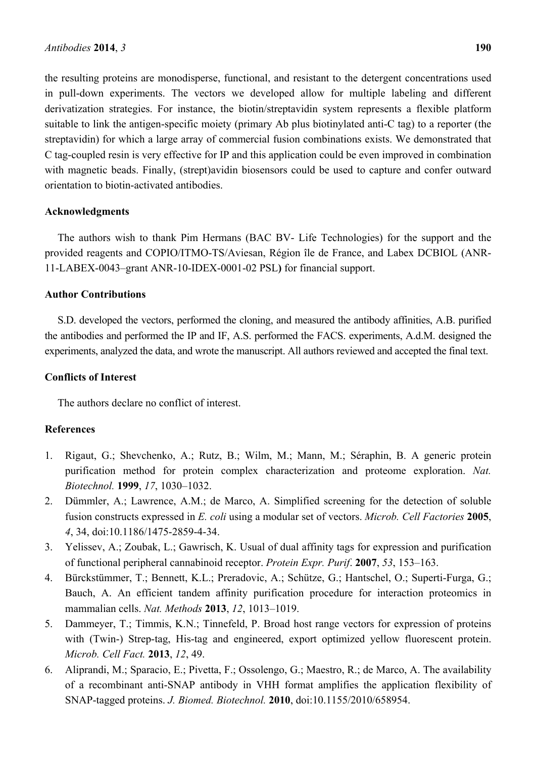the resulting proteins are monodisperse, functional, and resistant to the detergent concentrations used in pull-down experiments. The vectors we developed allow for multiple labeling and different derivatization strategies. For instance, the biotin/streptavidin system represents a flexible platform suitable to link the antigen-specific moiety (primary Ab plus biotinylated anti-C tag) to a reporter (the streptavidin) for which a large array of commercial fusion combinations exists. We demonstrated that C tag-coupled resin is very effective for IP and this application could be even improved in combination with magnetic beads. Finally, (strept)avidin biosensors could be used to capture and confer outward orientation to biotin-activated antibodies.

# **Acknowledgments**

The authors wish to thank Pim Hermans (BAC BV- Life Technologies) for the support and the provided reagents and COPIO/ITMO-TS/Aviesan, Région île de France, and Labex DCBIOL (ANR-11-LABEX-0043–grant ANR-10-IDEX-0001-02 PSL**)** for financial support.

# **Author Contributions**

S.D. developed the vectors, performed the cloning, and measured the antibody affinities, A.B. purified the antibodies and performed the IP and IF, A.S. performed the FACS. experiments, A.d.M. designed the experiments, analyzed the data, and wrote the manuscript. All authors reviewed and accepted the final text.

# **Conflicts of Interest**

The authors declare no conflict of interest.

# **References**

- 1. Rigaut, G.; Shevchenko, A.; Rutz, B.; Wilm, M.; Mann, M.; Séraphin, B. A generic protein purification method for protein complex characterization and proteome exploration. *Nat. Biotechnol.* **1999**, *17*, 1030–1032.
- 2. Dümmler, A.; Lawrence, A.M.; de Marco, A. Simplified screening for the detection of soluble fusion constructs expressed in *E. coli* using a modular set of vectors. *Microb. Cell Factories* **2005**, *4*, 34, doi:10.1186/1475-2859-4-34.
- 3. Yelissev, A.; Zoubak, L.; Gawrisch, K. Usual of dual affinity tags for expression and purification of functional peripheral cannabinoid receptor. *Protein Expr. Purif*. **2007**, *53*, 153–163.
- 4. Bürckstümmer, T.; Bennett, K.L.; Preradovic, A.; Schütze, G.; Hantschel, O.; Superti-Furga, G.; Bauch, A. An efficient tandem affinity purification procedure for interaction proteomics in mammalian cells. *Nat. Methods* **2013**, *12*, 1013–1019.
- 5. Dammeyer, T.; Timmis, K.N.; Tinnefeld, P. Broad host range vectors for expression of proteins with (Twin-) Strep-tag, His-tag and engineered, export optimized yellow fluorescent protein. *Microb. Cell Fact.* **2013**, *12*, 49.
- 6. Aliprandi, M.; Sparacio, E.; Pivetta, F.; Ossolengo, G.; Maestro, R.; de Marco, A. The availability of a recombinant anti-SNAP antibody in VHH format amplifies the application flexibility of SNAP-tagged proteins. *J. Biomed. Biotechnol.* **2010**, doi:10.1155/2010/658954.